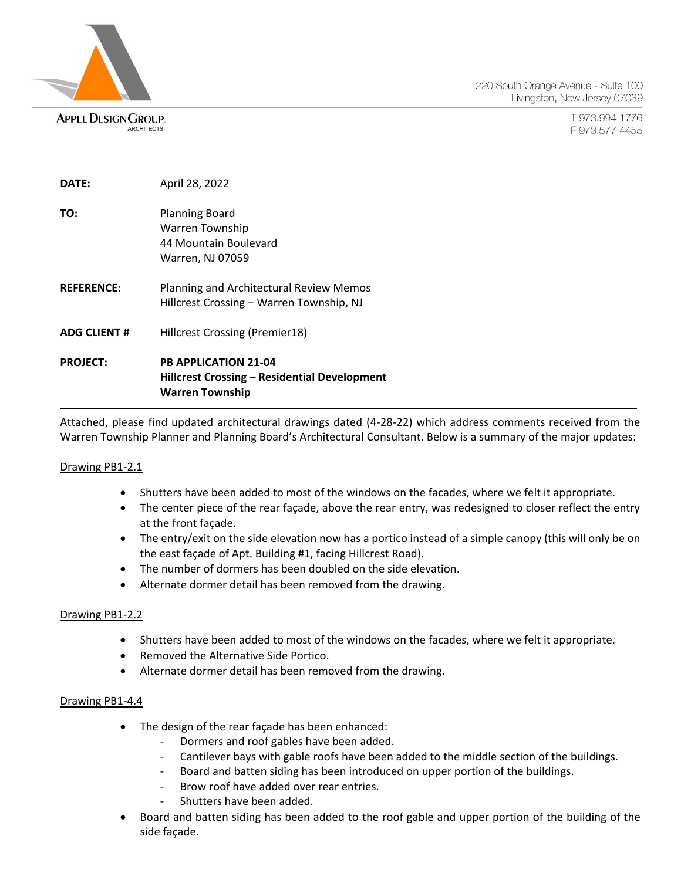**APPEL DESIGN GROUP.** ARCHITECTS

220 South Orange Avenue - Suite 100 Livingston, New Jersey 07039

> T973.994.1776 F973.577.4455

| DATE:              | April 28, 2022                                                                                               |
|--------------------|--------------------------------------------------------------------------------------------------------------|
| TO:                | <b>Planning Board</b><br>Warren Township<br>44 Mountain Boulevard<br>Warren, NJ 07059                        |
| <b>REFERENCE:</b>  | Planning and Architectural Review Memos<br>Hillcrest Crossing - Warren Township, NJ                          |
| <b>ADG CLIENT#</b> | Hillcrest Crossing (Premier18)                                                                               |
| <b>PROJECT:</b>    | <b>PB APPLICATION 21-04</b><br><b>Hillcrest Crossing - Residential Development</b><br><b>Warren Township</b> |

Attached, please find updated architectural drawings dated (4-28-22) which address comments received from the Warren Township Planner and Planning Board's Architectural Consultant. Below is a summary of the major updates:

### Drawing PB1-2.1

- Shutters have been added to most of the windows on the facades, where we felt it appropriate.
- The center piece of the rear façade, above the rear entry, was redesigned to closer reflect the entry at the front façade.
- The entry/exit on the side elevation now has a portico instead of a simple canopy (this will only be on the east façade of Apt. Building #1, facing Hillcrest Road).
- The number of dormers has been doubled on the side elevation.
- Alternate dormer detail has been removed from the drawing.

### Drawing PB1-2.2

- Shutters have been added to most of the windows on the facades, where we felt it appropriate.
- Removed the Alternative Side Portico.
- Alternate dormer detail has been removed from the drawing.

#### Drawing PB1-4.4

- The design of the rear façade has been enhanced:
	- Dormers and roof gables have been added.
	- Cantilever bays with gable roofs have been added to the middle section of the buildings.
	- Board and batten siding has been introduced on upper portion of the buildings.
	- Brow roof have added over rear entries.
	- Shutters have been added.
- Board and batten siding has been added to the roof gable and upper portion of the building of the side façade.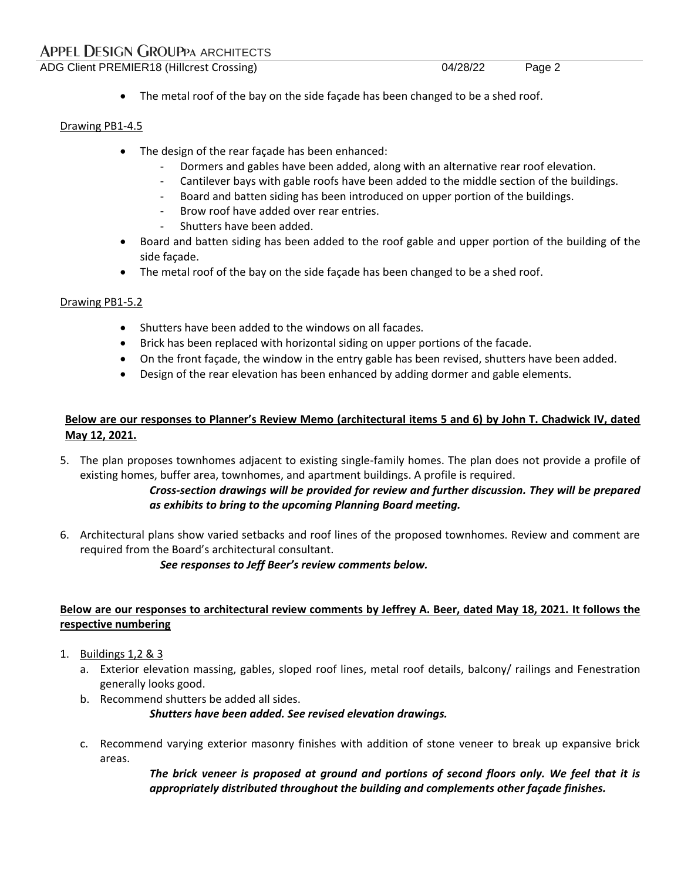# **APPEL DESIGN GROUPPA ARCHITECTS**

ADG Client PREMIER18 (Hillcrest Crossing) 04/28/22 Page 2

• The metal roof of the bay on the side façade has been changed to be a shed roof.

### Drawing PB1-4.5

- The design of the rear façade has been enhanced:
	- Dormers and gables have been added, along with an alternative rear roof elevation.
	- Cantilever bays with gable roofs have been added to the middle section of the buildings.
	- Board and batten siding has been introduced on upper portion of the buildings.
	- Brow roof have added over rear entries.
	- Shutters have been added.
- Board and batten siding has been added to the roof gable and upper portion of the building of the side façade.
- The metal roof of the bay on the side façade has been changed to be a shed roof.

### Drawing PB1-5.2

- Shutters have been added to the windows on all facades.
- Brick has been replaced with horizontal siding on upper portions of the facade.
- On the front façade, the window in the entry gable has been revised, shutters have been added.
- Design of the rear elevation has been enhanced by adding dormer and gable elements.

# **Below are our responses to Planner's Review Memo (architectural items 5 and 6) by John T. Chadwick IV, dated May 12, 2021.**

5. The plan proposes townhomes adjacent to existing single-family homes. The plan does not provide a profile of existing homes, buffer area, townhomes, and apartment buildings. A profile is required.

# *Cross-section drawings will be provided for review and further discussion. They will be prepared as exhibits to bring to the upcoming Planning Board meeting.*

6. Architectural plans show varied setbacks and roof lines of the proposed townhomes. Review and comment are required from the Board's architectural consultant.

*See responses to Jeff Beer's review comments below.*

### **Below are our responses to architectural review comments by Jeffrey A. Beer, dated May 18, 2021. It follows the respective numbering**

- 1. Buildings 1,2 & 3
	- a. Exterior elevation massing, gables, sloped roof lines, metal roof details, balcony/ railings and Fenestration generally looks good.
	- b. Recommend shutters be added all sides.

*Shutters have been added. See revised elevation drawings.*

c. Recommend varying exterior masonry finishes with addition of stone veneer to break up expansive brick areas.

> *The brick veneer is proposed at ground and portions of second floors only. We feel that it is appropriately distributed throughout the building and complements other façade finishes.*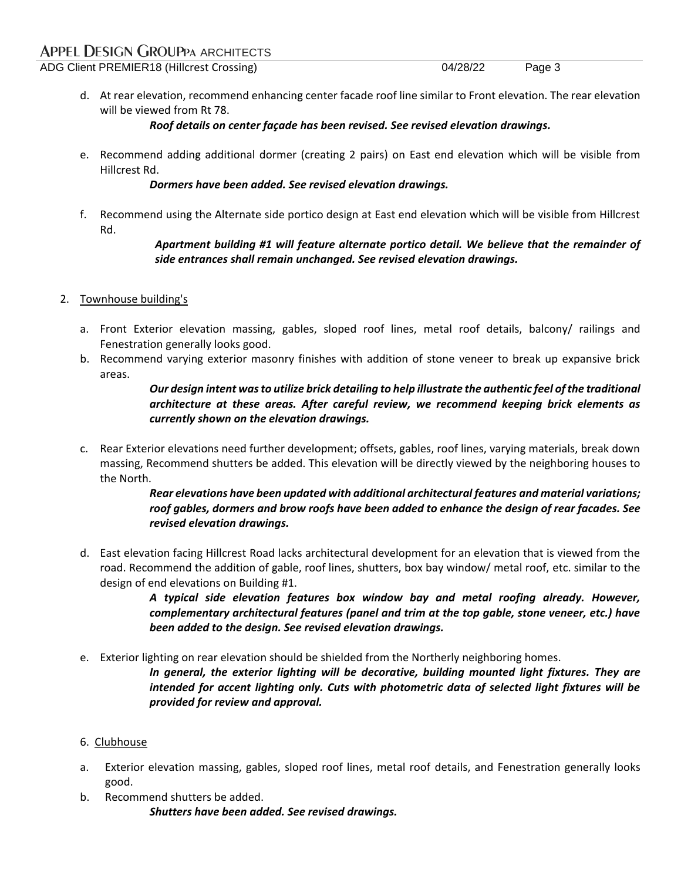# **APPEL DESIGN GROUPPA ARCHITECTS**

ADG Client PREMIER18 (Hillcrest Crossing) 04/28/22 Page 3

d. At rear elevation, recommend enhancing center facade roof line similar to Front elevation. The rear elevation will be viewed from Rt 78.

### *Roof details on center façade has been revised. See revised elevation drawings.*

e. Recommend adding additional dormer (creating 2 pairs) on East end elevation which will be visible from Hillcrest Rd.

### *Dormers have been added. See revised elevation drawings.*

f. Recommend using the Alternate side portico design at East end elevation which will be visible from Hillcrest Rd.

### *Apartment building #1 will feature alternate portico detail. We believe that the remainder of side entrances shall remain unchanged. See revised elevation drawings.*

# 2. Townhouse building's

- a. Front Exterior elevation massing, gables, sloped roof lines, metal roof details, balcony/ railings and Fenestration generally looks good.
- b. Recommend varying exterior masonry finishes with addition of stone veneer to break up expansive brick areas.

# *Our design intent was to utilize brick detailing to help illustrate the authentic feel of the traditional architecture at these areas. After careful review, we recommend keeping brick elements as currently shown on the elevation drawings.*

c. Rear Exterior elevations need further development; offsets, gables, roof lines, varying materials, break down massing, Recommend shutters be added. This elevation will be directly viewed by the neighboring houses to the North.

### *Rear elevations have been updated with additional architectural features and material variations; roof gables, dormers and brow roofs have been added to enhance the design of rear facades. See revised elevation drawings.*

d. East elevation facing Hillcrest Road lacks architectural development for an elevation that is viewed from the road. Recommend the addition of gable, roof lines, shutters, box bay window/ metal roof, etc. similar to the design of end elevations on Building #1.

> *A typical side elevation features box window bay and metal roofing already. However, complementary architectural features (panel and trim at the top gable, stone veneer, etc.) have been added to the design. See revised elevation drawings.*

e. Exterior lighting on rear elevation should be shielded from the Northerly neighboring homes.

*In general, the exterior lighting will be decorative, building mounted light fixtures. They are intended for accent lighting only. Cuts with photometric data of selected light fixtures will be provided for review and approval.*

### 6. Clubhouse

- a. Exterior elevation massing, gables, sloped roof lines, metal roof details, and Fenestration generally looks good.
- b. Recommend shutters be added. *Shutters have been added. See revised drawings.*